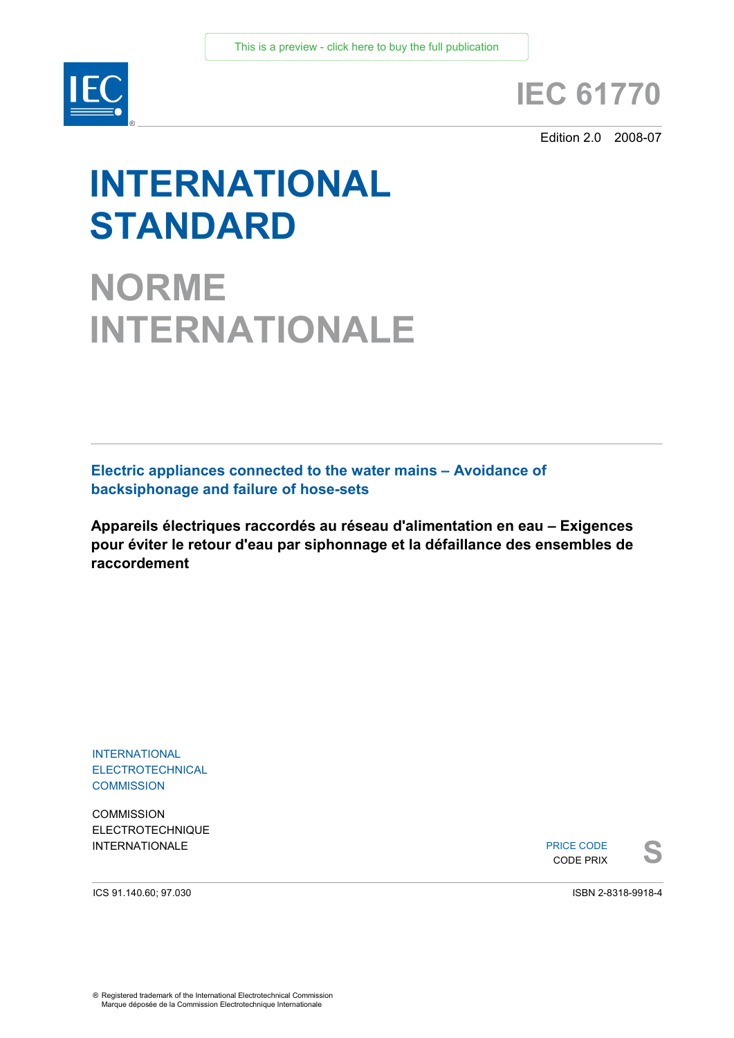

## **IEC 61770**

Edition 2.0 2008-07

# **INTERNATIONAL STANDARD**

**NORME INTERNATIONALE**

**Electric appliances connected to the water mains – Avoidance of backsiphonage and failure of hose-sets** 

**Appareils électriques raccordés au réseau d'alimentation en eau – Exigences pour éviter le retour d'eau par siphonnage et la défaillance des ensembles de raccordement** 

INTERNATIONAL ELECTROTECHNICAL **COMMISSION** 

**COMMISSION** ELECTROTECHNIQUE

INTERNATIONALE **STATE OF SALE OF SALE OF SALE OF SALE OF SALE OF SALE OF SALE OF SALE OF SALE OF SALE OF SALE OF SALE OF SALE OF SALE OF SALE OF SALE OF SALE OF SALE OF SALE OF SALE OF SALE OF SALE OF SALE OF SALE OF SALE** PRICE CODE CODE PRIX

ICS 91.140.60; 97.030

ISBN 2-8318-9918-4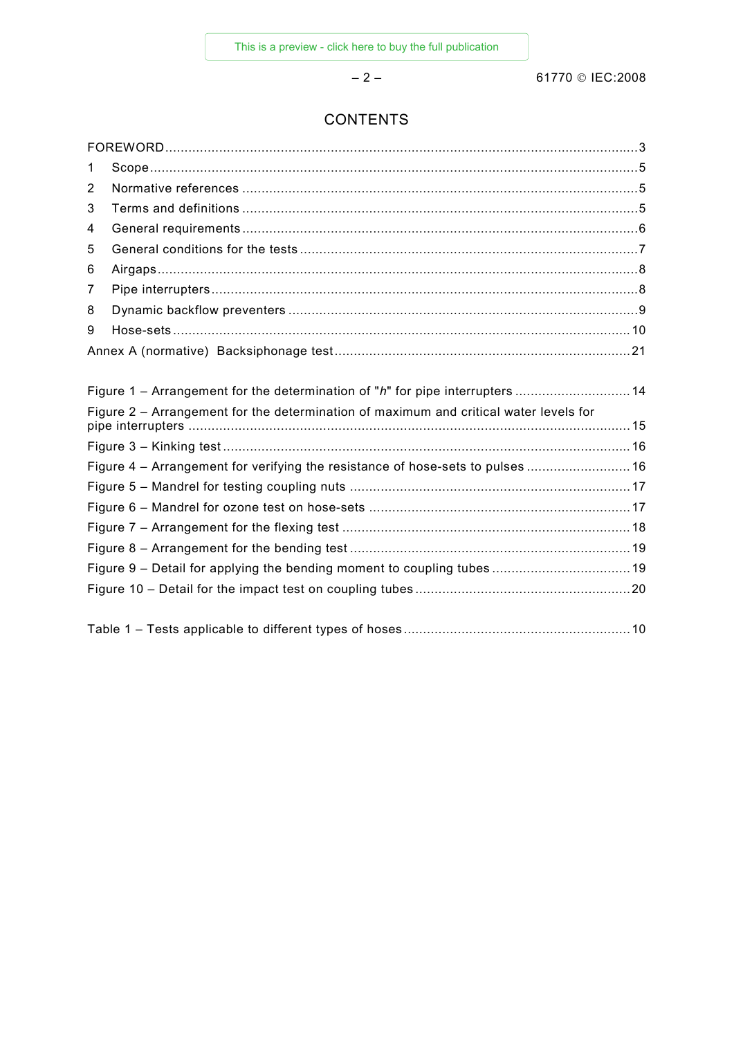$-2-$ 

61770 © IEC:2008

### **CONTENTS**

| 1                                                                                     |  |  |  |
|---------------------------------------------------------------------------------------|--|--|--|
| 2                                                                                     |  |  |  |
| 3                                                                                     |  |  |  |
| 4                                                                                     |  |  |  |
| 5                                                                                     |  |  |  |
| 6                                                                                     |  |  |  |
| 7                                                                                     |  |  |  |
| 8                                                                                     |  |  |  |
| 9                                                                                     |  |  |  |
|                                                                                       |  |  |  |
|                                                                                       |  |  |  |
| Figure 1 - Arrangement for the determination of "h" for pipe interrupters  14         |  |  |  |
| Figure 2 - Arrangement for the determination of maximum and critical water levels for |  |  |  |
|                                                                                       |  |  |  |
| Figure 4 – Arrangement for verifying the resistance of hose-sets to pulses  16        |  |  |  |
|                                                                                       |  |  |  |
|                                                                                       |  |  |  |
|                                                                                       |  |  |  |
|                                                                                       |  |  |  |
|                                                                                       |  |  |  |
|                                                                                       |  |  |  |
|                                                                                       |  |  |  |
|                                                                                       |  |  |  |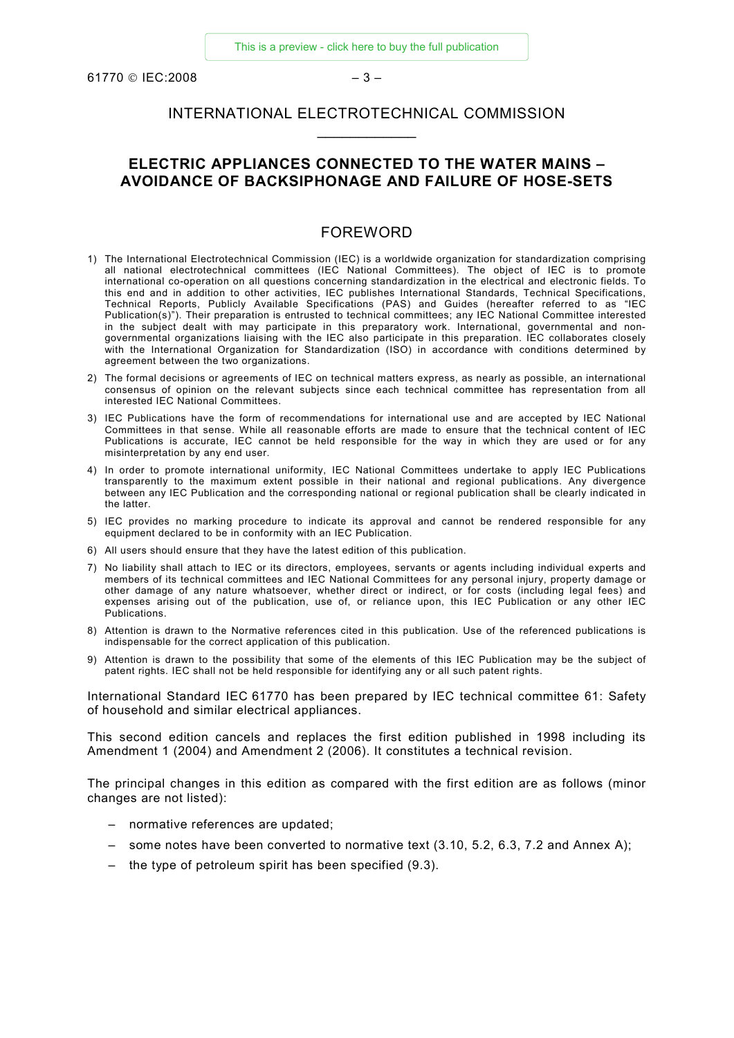<span id="page-2-0"></span>61770 © IFC:2008 – 3 –

#### INTERNATIONAL ELECTROTECHNICAL COMMISSION  $\frac{1}{2}$  ,  $\frac{1}{2}$  ,  $\frac{1}{2}$  ,  $\frac{1}{2}$  ,  $\frac{1}{2}$  ,  $\frac{1}{2}$

#### **ELECTRIC APPLIANCES CONNECTED TO THE WATER MAINS – AVOIDANCE OF BACKSIPHONAGE AND FAILURE OF HOSE-SETS**

#### FOREWORD

- 1) The International Electrotechnical Commission (IEC) is a worldwide organization for standardization comprising all national electrotechnical committees (IEC National Committees). The object of IEC is to promote international co-operation on all questions concerning standardization in the electrical and electronic fields. To this end and in addition to other activities, IEC publishes International Standards, Technical Specifications, Technical Reports, Publicly Available Specifications (PAS) and Guides (hereafter referred to as "IEC Publication(s)"). Their preparation is entrusted to technical committees; any IEC National Committee interested in the subject dealt with may participate in this preparatory work. International, governmental and nongovernmental organizations liaising with the IEC also participate in this preparation. IEC collaborates closely with the International Organization for Standardization (ISO) in accordance with conditions determined by agreement between the two organizations.
- 2) The formal decisions or agreements of IEC on technical matters express, as nearly as possible, an international consensus of opinion on the relevant subjects since each technical committee has representation from all interested IEC National Committees.
- 3) IEC Publications have the form of recommendations for international use and are accepted by IEC National Committees in that sense. While all reasonable efforts are made to ensure that the technical content of IEC Publications is accurate, IEC cannot be held responsible for the way in which they are used or for any misinterpretation by any end user.
- 4) In order to promote international uniformity, IEC National Committees undertake to apply IEC Publications transparently to the maximum extent possible in their national and regional publications. Any divergence between any IEC Publication and the corresponding national or regional publication shall be clearly indicated in the latter.
- 5) IEC provides no marking procedure to indicate its approval and cannot be rendered responsible for any equipment declared to be in conformity with an IEC Publication.
- 6) All users should ensure that they have the latest edition of this publication.
- 7) No liability shall attach to IEC or its directors, employees, servants or agents including individual experts and members of its technical committees and IEC National Committees for any personal injury, property damage or other damage of any nature whatsoever, whether direct or indirect, or for costs (including legal fees) and expenses arising out of the publication, use of, or reliance upon, this IEC Publication or any other IEC Publications.
- 8) Attention is drawn to the Normative references cited in this publication. Use of the referenced publications is indispensable for the correct application of this publication.
- 9) Attention is drawn to the possibility that some of the elements of this IEC Publication may be the subject of patent rights. IEC shall not be held responsible for identifying any or all such patent rights.

International Standard IEC 61770 has been prepared by IEC technical committee 61: Safety of household and similar electrical appliances.

This second edition cancels and replaces the first edition published in 1998 including its Amendment 1 (2004) and Amendment 2 (2006). It constitutes a technical revision.

The principal changes in this edition as compared with the first edition are as follows (minor changes are not listed):

- normative references are updated;
- some notes have been converted to normative text (3.10, 5.2, 6.3, 7.2 and Annex A);
- the type of petroleum spirit has been specified (9.3).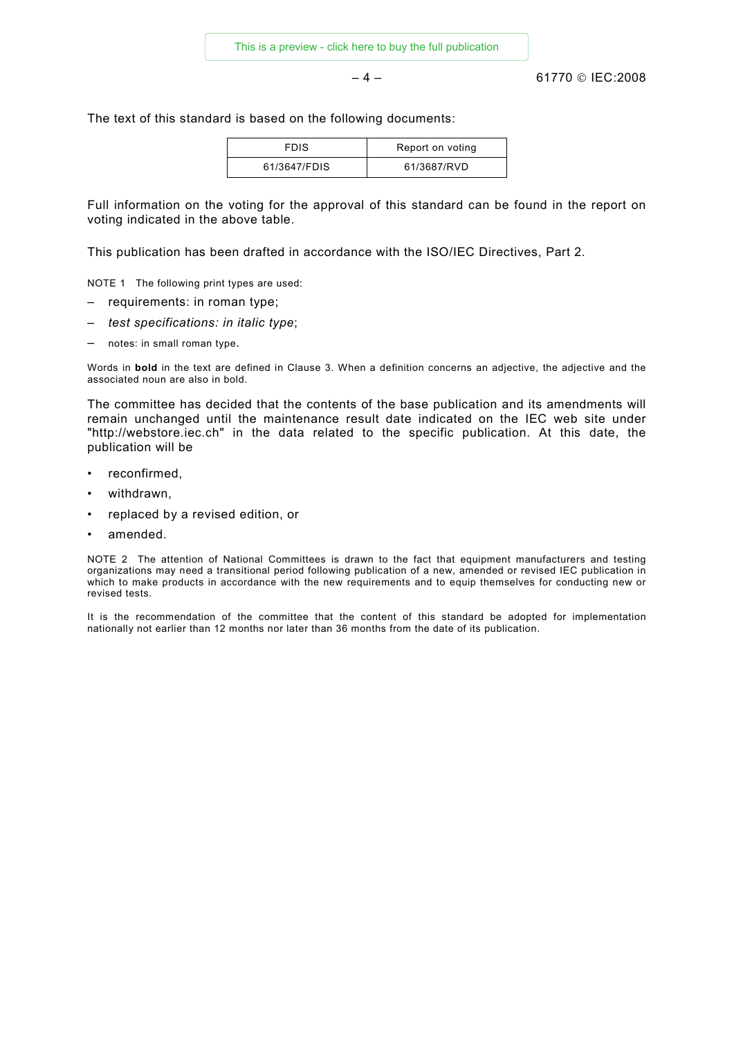– 4 – 61770 © IEC:2008

The text of this standard is based on the following documents:

| <b>FDIS</b>  | Report on voting |
|--------------|------------------|
| 61/3647/FDIS | 61/3687/RVD      |

Full information on the voting for the approval of this standard can be found in the report on voting indicated in the above table.

This publication has been drafted in accordance with the ISO/IEC Directives, Part 2.

NOTE 1 The following print types are used:

- requirements: in roman type;
- *test specifications: in italic type*;
- notes: in small roman type.

Words in **bold** in the text are defined in Clause 3. When a definition concerns an adjective, the adjective and the associated noun are also in bold.

The committee has decided that the contents of the base publication and its amendments will remain unchanged until the maintenance result date indicated on the IEC web site under "http://webstore.iec.ch" in the data related to the specific publication. At this date, the publication will be

- reconfirmed,
- withdrawn,
- replaced by a revised edition, or
- amended.

NOTE 2 The attention of National Committees is drawn to the fact that equipment manufacturers and testing organizations may need a transitional period following publication of a new, amended or revised IEC publication in which to make products in accordance with the new requirements and to equip themselves for conducting new or revised tests.

It is the recommendation of the committee that the content of this standard be adopted for implementation nationally not earlier than 12 months nor later than 36 months from the date of its publication.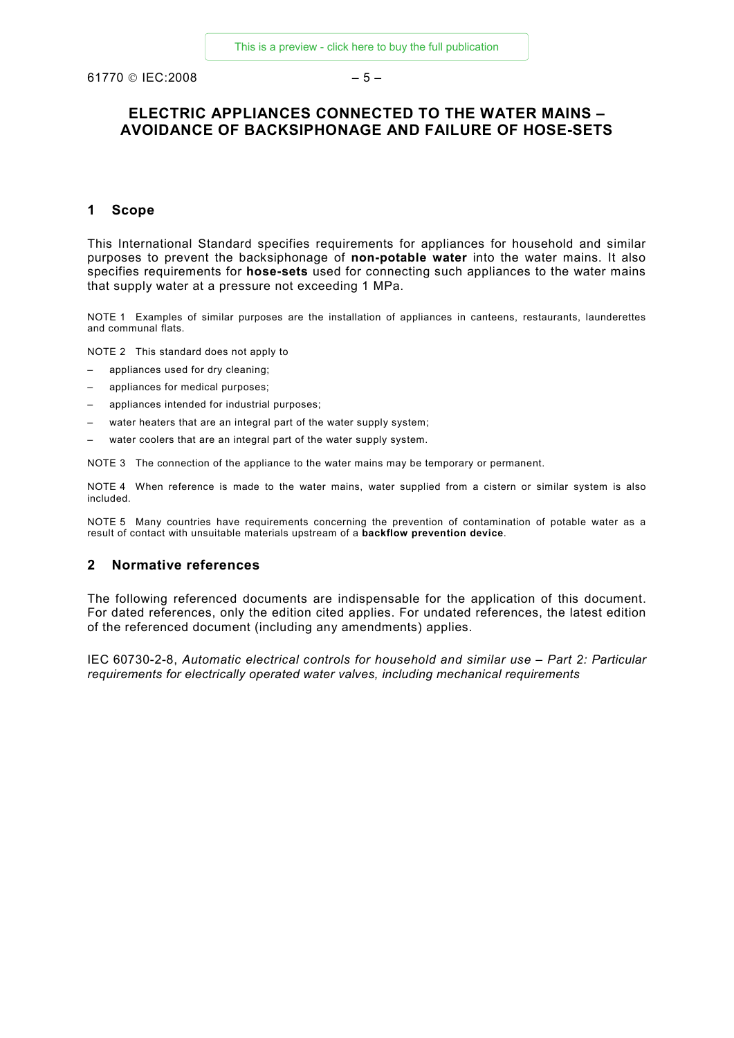<span id="page-4-0"></span>61770 © IEC:2008 – 5 –

#### **ELECTRIC APPLIANCES CONNECTED TO THE WATER MAINS – AVOIDANCE OF BACKSIPHONAGE AND FAILURE OF HOSE-SETS**

#### **1 Scope**

This International Standard specifies requirements for appliances for household and similar purposes to prevent the backsiphonage of **non-potable water** into the water mains. It also specifies requirements for **hose-sets** used for connecting such appliances to the water mains that supply water at a pressure not exceeding 1 MPa.

NOTE 1 Examples of similar purposes are the installation of appliances in canteens, restaurants, launderettes and communal flats.

NOTE 2 This standard does not apply to

- appliances used for dry cleaning;
- appliances for medical purposes;
- appliances intended for industrial purposes;
- water heaters that are an integral part of the water supply system;
- water coolers that are an integral part of the water supply system.

NOTE 3 The connection of the appliance to the water mains may be temporary or permanent.

NOTE 4 When reference is made to the water mains, water supplied from a cistern or similar system is also included.

NOTE 5 Many countries have requirements concerning the prevention of contamination of potable water as a result of contact with unsuitable materials upstream of a **backflow prevention device**.

#### **2 Normative references**

The following referenced documents are indispensable for the application of this document. For dated references, only the edition cited applies. For undated references, the latest edition of the referenced document (including any amendments) applies.

IEC 60730-2-8, *Automatic electrical controls for household and similar use – Part 2: Particular requirements for electrically operated water valves, including mechanical requirements*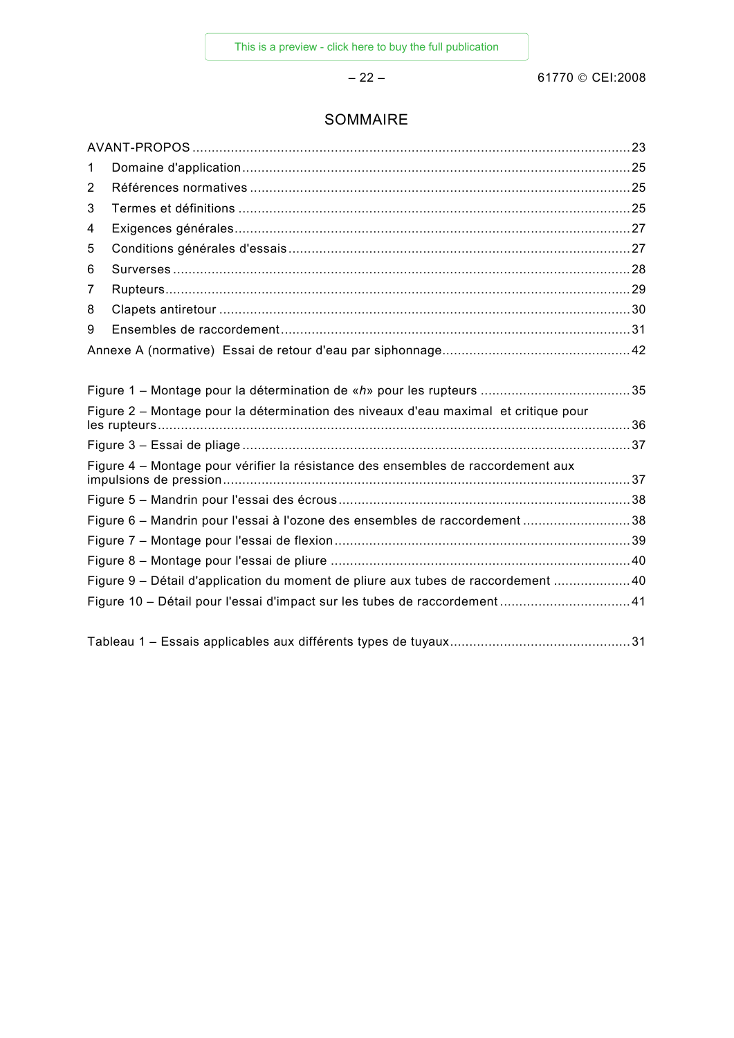– 22 – 61770 © CEI:2008

#### SOMMAIRE

| 1 |                                                                                     |  |
|---|-------------------------------------------------------------------------------------|--|
| 2 |                                                                                     |  |
| 3 |                                                                                     |  |
| 4 |                                                                                     |  |
| 5 |                                                                                     |  |
| 6 |                                                                                     |  |
| 7 |                                                                                     |  |
| 8 |                                                                                     |  |
| 9 |                                                                                     |  |
|   |                                                                                     |  |
|   |                                                                                     |  |
|   |                                                                                     |  |
|   | Figure 2 - Montage pour la détermination des niveaux d'eau maximal et critique pour |  |
|   |                                                                                     |  |
|   | Figure 4 - Montage pour vérifier la résistance des ensembles de raccordement aux    |  |
|   |                                                                                     |  |
|   |                                                                                     |  |
|   | Figure 6 - Mandrin pour l'essai à l'ozone des ensembles de raccordement 38          |  |
|   |                                                                                     |  |
|   |                                                                                     |  |
|   | Figure 9 - Détail d'application du moment de pliure aux tubes de raccordement 40    |  |
|   | Figure 10 - Détail pour l'essai d'impact sur les tubes de raccordement 41           |  |
|   |                                                                                     |  |
|   |                                                                                     |  |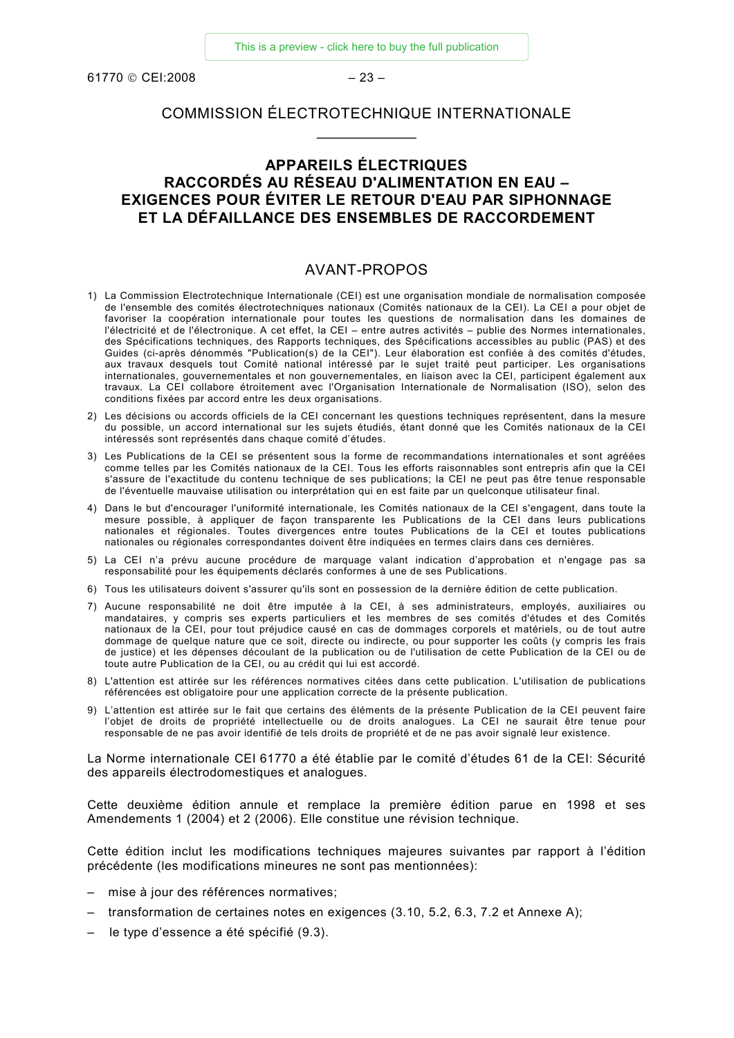<span id="page-6-0"></span> $61770 \odot CF1.2008$  – 23 –

#### COMMISSION ÉLECTROTECHNIQUE INTERNATIONALE  $\frac{1}{2}$  . The set of the set of the set of the set of the set of the set of the set of the set of the set of the set of the set of the set of the set of the set of the set of the set of the set of the set of the set of

#### **APPAREILS ÉLECTRIQUES RACCORDÉS AU RÉSEAU D'ALIMENTATION EN EAU – EXIGENCES POUR ÉVITER LE RETOUR D'EAU PAR SIPHONNAGE ET LA DÉFAILLANCE DES ENSEMBLES DE RACCORDEMENT**

#### AVANT-PROPOS

- 1) La Commission Electrotechnique Internationale (CEI) est une organisation mondiale de normalisation composée de l'ensemble des comités électrotechniques nationaux (Comités nationaux de la CEI). La CEI a pour objet de favoriser la coopération internationale pour toutes les questions de normalisation dans les domaines de l'électricité et de l'électronique. A cet effet, la CEI – entre autres activités – publie des Normes internationales, des Spécifications techniques, des Rapports techniques, des Spécifications accessibles au public (PAS) et des Guides (ci-après dénommés "Publication(s) de la CEI"). Leur élaboration est confiée à des comités d'études, aux travaux desquels tout Comité national intéressé par le sujet traité peut participer. Les organisations internationales, gouvernementales et non gouvernementales, en liaison avec la CEI, participent également aux travaux. La CEI collabore étroitement avec l'Organisation Internationale de Normalisation (ISO), selon des conditions fixées par accord entre les deux organisations.
- 2) Les décisions ou accords officiels de la CEI concernant les questions techniques représentent, dans la mesure du possible, un accord international sur les sujets étudiés, étant donné que les Comités nationaux de la CEI intéressés sont représentés dans chaque comité d'études.
- 3) Les Publications de la CEI se présentent sous la forme de recommandations internationales et sont agréées comme telles par les Comités nationaux de la CEI. Tous les efforts raisonnables sont entrepris afin que la CEI s'assure de l'exactitude du contenu technique de ses publications; la CEI ne peut pas être tenue responsable de l'éventuelle mauvaise utilisation ou interprétation qui en est faite par un quelconque utilisateur final.
- 4) Dans le but d'encourager l'uniformité internationale, les Comités nationaux de la CEI s'engagent, dans toute la mesure possible, à appliquer de façon transparente les Publications de la CEI dans leurs publications nationales et régionales. Toutes divergences entre toutes Publications de la CEI et toutes publications nationales ou régionales correspondantes doivent être indiquées en termes clairs dans ces dernières.
- 5) La CEI n'a prévu aucune procédure de marquage valant indication d'approbation et n'engage pas sa responsabilité pour les équipements déclarés conformes à une de ses Publications.
- 6) Tous les utilisateurs doivent s'assurer qu'ils sont en possession de la dernière édition de cette publication.
- 7) Aucune responsabilité ne doit être imputée à la CEI, à ses administrateurs, employés, auxiliaires ou mandataires, y compris ses experts particuliers et les membres de ses comités d'études et des Comités nationaux de la CEI, pour tout préjudice causé en cas de dommages corporels et matériels, ou de tout autre dommage de quelque nature que ce soit, directe ou indirecte, ou pour supporter les coûts (y compris les frais de justice) et les dépenses découlant de la publication ou de l'utilisation de cette Publication de la CEI ou de toute autre Publication de la CEI, ou au crédit qui lui est accordé.
- 8) L'attention est attirée sur les références normatives citées dans cette publication. L'utilisation de publications référencées est obligatoire pour une application correcte de la présente publication.
- 9) L'attention est attirée sur le fait que certains des éléments de la présente Publication de la CEI peuvent faire l'objet de droits de propriété intellectuelle ou de droits analogues. La CEI ne saurait être tenue pour responsable de ne pas avoir identifié de tels droits de propriété et de ne pas avoir signalé leur existence.

La Norme internationale CEI 61770 a été établie par le comité d'études 61 de la CEI: Sécurité des appareils électrodomestiques et analogues.

Cette deuxième édition annule et remplace la première édition parue en 1998 et ses Amendements 1 (2004) et 2 (2006). Elle constitue une révision technique.

Cette édition inclut les modifications techniques majeures suivantes par rapport à l'édition précédente (les modifications mineures ne sont pas mentionnées):

- mise à jour des références normatives;
- transformation de certaines notes en exigences (3.10, 5.2, 6.3, 7.2 et Annexe A);
- le type d'essence a été spécifié (9.3).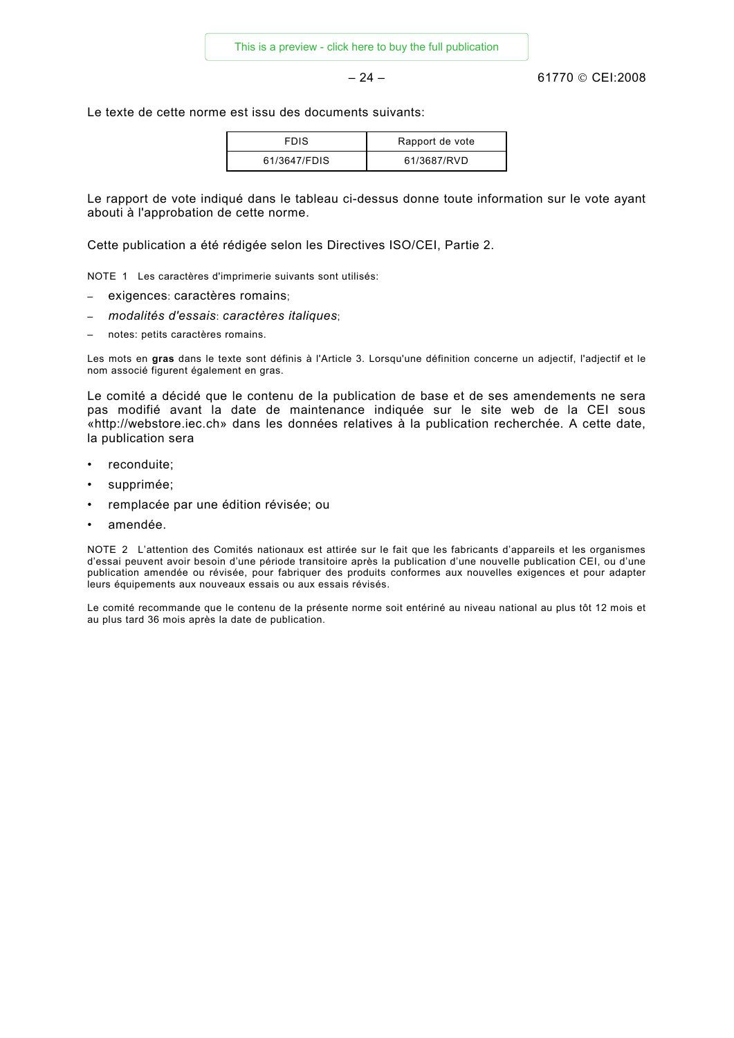$-24 - 61770 \odot C$ FI:2008

Le texte de cette norme est issu des documents suivants:

| <b>FDIS</b>  | Rapport de vote |
|--------------|-----------------|
| 61/3647/FDIS | 61/3687/RVD     |

Le rapport de vote indiqué dans le tableau ci-dessus donne toute information sur le vote ayant abouti à l'approbation de cette norme.

Cette publication a été rédigée selon les Directives ISO/CEI, Partie 2.

NOTE 1 Les caractères d'imprimerie suivants sont utilisés:

- exigences: caractères romains;
- *modalités d'essais*: *caractères italiques*;
- notes: petits caractères romains.

Les mots en **gras** dans le texte sont définis à l'Article 3. Lorsqu'une définition concerne un adjectif, l'adjectif et le nom associé figurent également en gras.

Le comité a décidé que le contenu de la publication de base et de ses amendements ne sera pas modifié avant la date de maintenance indiquée sur le site web de la CEI sous «http://webstore.iec.ch» dans les données relatives à la publication recherchée. A cette date, la publication sera

- reconduite;
- supprimée;
- remplacée par une édition révisée; ou
- amendée.

NOTE 2 L'attention des Comités nationaux est attirée sur le fait que les fabricants d'appareils et les organismes d'essai peuvent avoir besoin d'une période transitoire après la publication d'une nouvelle publication CEI, ou d'une publication amendée ou révisée, pour fabriquer des produits conformes aux nouvelles exigences et pour adapter leurs équipements aux nouveaux essais ou aux essais révisés.

Le comité recommande que le contenu de la présente norme soit entériné au niveau national au plus tôt 12 mois et au plus tard 36 mois après la date de publication.